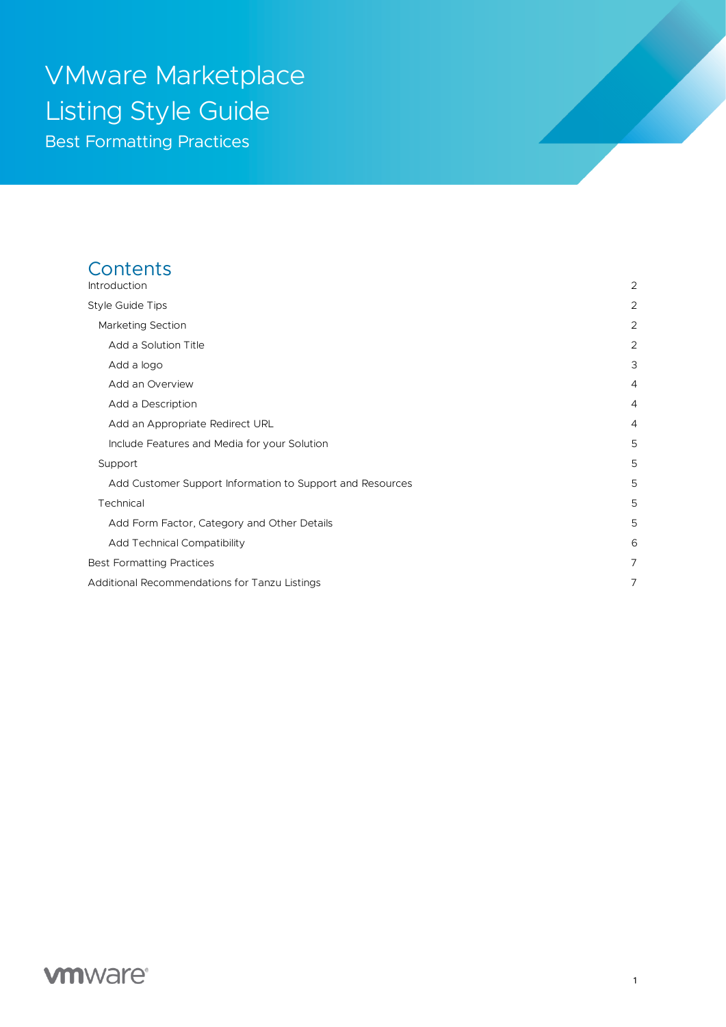# VMware Marketplace Listing Style Guide Best Formatting Practices

# **Contents**

| Introduction                                              | $\overline{2}$ |
|-----------------------------------------------------------|----------------|
| Style Guide Tips                                          | 2              |
| Marketing Section                                         | $\overline{2}$ |
| Add a Solution Title                                      | $\overline{2}$ |
| Add a logo                                                | 3              |
| Add an Overview                                           | $\overline{4}$ |
| Add a Description                                         | $\overline{4}$ |
| Add an Appropriate Redirect URL                           | $\overline{4}$ |
| Include Features and Media for your Solution              | 5              |
| Support                                                   | 5              |
| Add Customer Support Information to Support and Resources | 5              |
| Technical                                                 | 5              |
| Add Form Factor, Category and Other Details               | 5              |
| <b>Add Technical Compatibility</b>                        | 6              |
| <b>Best Formatting Practices</b>                          | $\overline{7}$ |
| Additional Recommendations for Tanzu Listings             | $\overline{7}$ |

# **vmware**<sup>®</sup>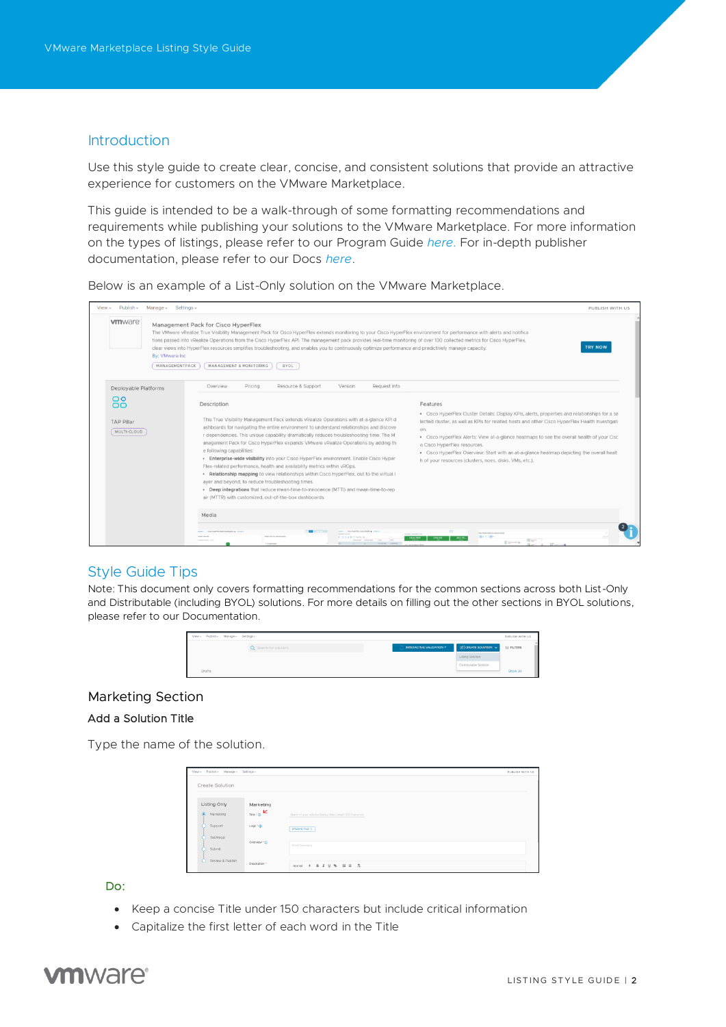### <span id="page-1-0"></span>Introduction

Use this style guide to create clear, concise, and consistent solutions that provide an attractive experience for customers on the VMware Marketplace.

This guide is intended to be a walk-through of some formatting recommendations and requirements while publishing your solutions to the VMware Marketplace. For more information on the types of listings, please refer to our Program Guide *[here.](https://www.vmware.com/products/vmware-marketplace.html?resource=resource-listing%3Atechnical-documentation)* For in-depth publisher documentation, please refer to our Docs *[here](https://cloud.vmware.com/marketplace/resources)*.

Below is an example of a List-Only solution on the VMware Marketplace.

| Publish ~ Manage ~ Settings ~<br>View ~                       |                                                                                                                                                                                                                                                                                                                                                                                                                                                                                                                                                                                                                                                                                                                                                                                                                                                                                        | PUBLISH WITH US                                                                                                                                                                                                                                                                                                                                                                                                                                                                                           |
|---------------------------------------------------------------|----------------------------------------------------------------------------------------------------------------------------------------------------------------------------------------------------------------------------------------------------------------------------------------------------------------------------------------------------------------------------------------------------------------------------------------------------------------------------------------------------------------------------------------------------------------------------------------------------------------------------------------------------------------------------------------------------------------------------------------------------------------------------------------------------------------------------------------------------------------------------------------|-----------------------------------------------------------------------------------------------------------------------------------------------------------------------------------------------------------------------------------------------------------------------------------------------------------------------------------------------------------------------------------------------------------------------------------------------------------------------------------------------------------|
| <b>vm</b> ware<br>By: VMware Inc.<br>MANAGEMENTPACK           | Management Pack for Cisco HyperFlex<br>The VMware vRealize True Visibility Management Pack for Cisco HyperFlex extends monitoring to your Cisco HyperFlex environment for performance with alerts and notifica<br>tions passed into vRealize Operations from the Cisco HyperFlex API. The management pack provides real-time monitoring of over 100 collected metrics for Cisco HyperFlex,<br>clear views into HyperFlex resources simplifies troubleshooting, and enables you to continuously optimize performance and predictively manage capacity.<br>MANAGEMENT & MONITORING<br>BYOL                                                                                                                                                                                                                                                                                               | <b>TRY NOW</b>                                                                                                                                                                                                                                                                                                                                                                                                                                                                                            |
| Deployable Platforms                                          | Resource & Support<br>Request Info<br>Pricing<br>Overview<br>Version                                                                                                                                                                                                                                                                                                                                                                                                                                                                                                                                                                                                                                                                                                                                                                                                                   |                                                                                                                                                                                                                                                                                                                                                                                                                                                                                                           |
| $\circ$<br>$\overline{O}$<br><b>TAP Pillar</b><br>MULTI-CLOUD | Description<br>This True Visibility Management Pack extends vRealize Operations with at-a-glance KPI d<br>ashboards for navigating the entire environment to understand relationships and discove<br>r dependencies. This unique capability dramatically reduces troubleshooting time. The M<br>anagement Pack for Cisco HyperFlex expands VMware vRealize Operations by adding th<br>e following capabilities:<br>. Enterprise-wide visibility into your Cisco HyperFlex environment. Enable Cisco Hyper<br>Flex-related performance, health and availability metrics within vROps.<br>. Relationship mapping to view relationships within Cisco HyperFlex, out to the virtual I<br>ayer and beyond, to reduce troubleshooting times.<br>. Deep integrations that reduce mean-time-to-innocence (MTTI) and mean-time-to-rep<br>air (MTTR) with customized, out-of-the-box dashboards. | Features<br>• Cisco HyperFlex Cluster Details: Display KPIs, alerts, properties and relationships for a se<br>lected cluster, as well as KPIs for related hosts and other Cisco HyperFlex Health Investigati<br>on.<br>. Cisco HyperFlex Alerts: View at-a-glance heatmaps to see the overall health of your Cisc<br>o Cisco HyperFlex resources.<br>· Cisco HyperFlex Overview: Start with an at-a-glance heatmap depicting the overall healt<br>h of your resources (clusters, noes, disks, VMs, etc.). |
|                                                               | Media                                                                                                                                                                                                                                                                                                                                                                                                                                                                                                                                                                                                                                                                                                                                                                                                                                                                                  |                                                                                                                                                                                                                                                                                                                                                                                                                                                                                                           |
|                                                               | <b>Contract Contract</b><br><b>Service</b><br><b>Carolina States</b> States<br><b>British College Company States</b><br><b>PUT ME CARTER</b><br>The hybride                                                                                                                                                                                                                                                                                                                                                                                                                                                                                                                                                                                                                                                                                                                            | <b>State Constitution of a substitution</b><br>to an its community to you<br>関本大工場へ<br>Green<br>IT growing of                                                                                                                                                                                                                                                                                                                                                                                             |

### <span id="page-1-1"></span>Style Guide Tips

Note: This document only covers formatting recommendations for the common sections across both List-Only and Distributable (including BYOL) solutions. For more details on filling out the other sections in BYOL solutions, please refer to our Documentation.



#### <span id="page-1-2"></span>Marketing Section

#### <span id="page-1-3"></span>Add a Solution Title

Type the name of the solution.

| View - Publish - Manage - Settings - |                                                          |                                                                               | PUBLISH WITH US |
|--------------------------------------|----------------------------------------------------------|-------------------------------------------------------------------------------|-----------------|
| Create Solution                      |                                                          |                                                                               |                 |
| Listing Only                         | Marketing                                                |                                                                               |                 |
| $\odot$ Marketing                    | $\mathbf{r}_{\text{line}} \cdot_{\mathbf{Q}} \mathbf{K}$ | Name of your solution listing (Max Length ISO character)                      |                 |
| Support                              | Logo * (D)                                               | UPLOAD FILE 2                                                                 |                 |
| Technical                            | Overview * @                                             |                                                                               |                 |
| Submit                               |                                                          | Short Summary                                                                 |                 |
| O<br>Review & Publish                | Description *                                            | Normal $\bullet$ <b>B</b> $I \cup \bullet$ <b>H</b> $\equiv$ $I$ <sub>2</sub> |                 |

Do:

- Keep a concise Title under 150 characters but include critical information
- Capitalize the first letter of each word in the Title

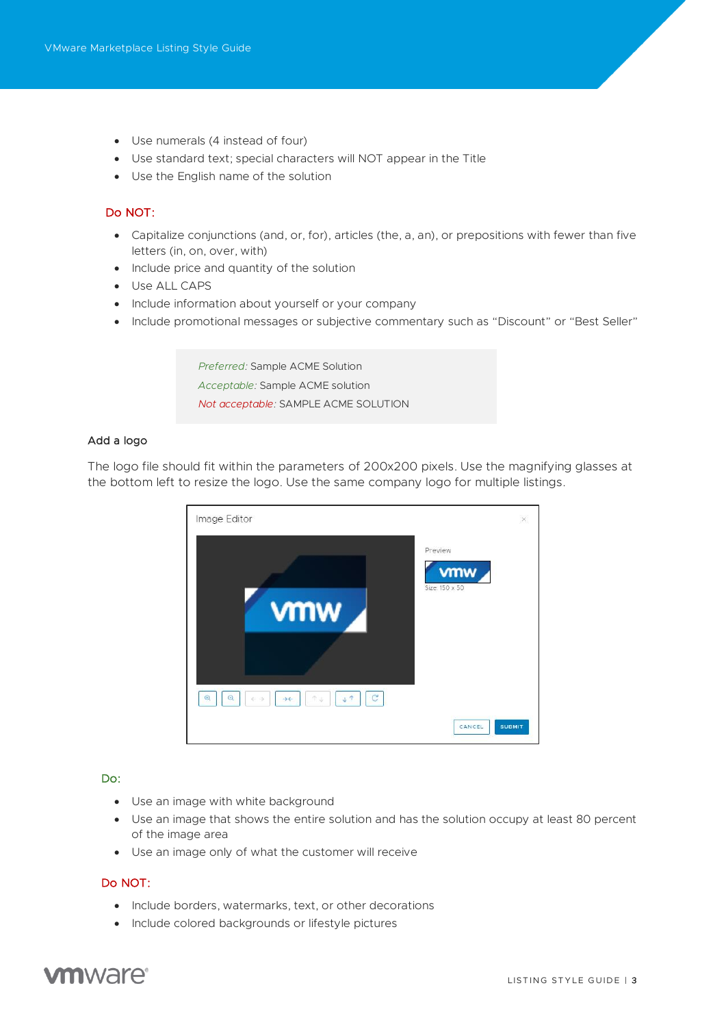- Use numerals (4 instead of four)
- Use standard text; special characters will NOT appear in the Title
- Use the English name of the solution

### Do NOT:

- Capitalize conjunctions (and, or, for), articles (the, a, an), or prepositions with fewer than five letters (in, on, over, with)
- Include price and quantity of the solution
- Use ALL CAPS
- Include information about yourself or your company
- Include promotional messages or subjective commentary such as "Discount" or "Best Seller"

*Preferred:* Sample ACME Solution *Acceptable:* Sample ACME solution *Not acceptable:* SAMPLE ACME SOLUTION

#### <span id="page-2-0"></span>Add a logo

The logo file should fit within the parameters of 200x200 pixels. Use the magnifying glasses at the bottom left to resize the logo. Use the same company logo for multiple listings.



#### Do:

- Use an image with white background
- Use an image that shows the entire solution and has the solution occupy at least 80 percent of the image area
- Use an image only of what the customer will receive

### Do NOT:

- Include borders, watermarks, text, or other decorations
- Include colored backgrounds or lifestyle pictures

# **vm**ware<sup>®</sup>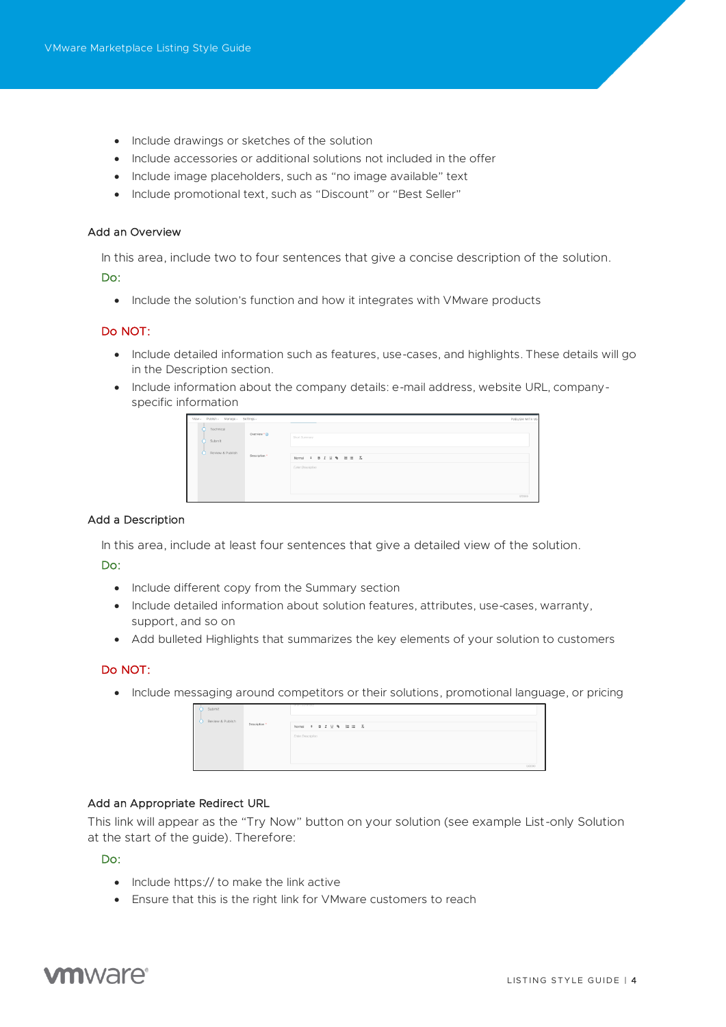- Include drawings or sketches of the solution
- Include accessories or additional solutions not included in the offer
- Include image placeholders, such as "no image available" text
- Include promotional text, such as "Discount" or "Best Seller"

#### <span id="page-3-0"></span>Add an Overview

In this area, include two to four sentences that give a concise description of the solution. Do:

• Include the solution's function and how it integrates with VMware products

#### Do NOT:

- Include detailed information such as features, use-cases, and highlights. These details will go in the Description section.
- Include information about the company details: e-mail address, website URL, companyspecific information

| View - Publish - Manage - Settings - |                |                        | PUBLISH WITH US |
|--------------------------------------|----------------|------------------------|-----------------|
| Technical                            |                |                        |                 |
| Submit                               | Overview * (D) | Short Summary          |                 |
| Review & Publish                     |                |                        |                 |
|                                      | Description *  | Normal : B I U % H H A |                 |
|                                      |                | Enter Description      |                 |
|                                      |                |                        |                 |
|                                      |                |                        |                 |
|                                      |                |                        |                 |
|                                      |                |                        | 0/2000          |

#### <span id="page-3-1"></span>Add a Description

In this area, include at least four sentences that give a detailed view of the solution.

#### Do:

- Include different copy from the Summary section
- Include detailed information about solution features, attributes, use-cases, warranty, support, and so on
- Add bulleted Highlights that summarizes the key elements of your solution to customers

#### Do NOT:

• Include messaging around competitors or their solutions, promotional language, or pricing

| Submit                            |                                                                  |
|-----------------------------------|------------------------------------------------------------------|
| Review & Publish<br>Description * | Normal $\bullet$ <b>B</b> $I \cup \bullet$ $\mathbb{H} \equiv I$ |
| Enter Description                 |                                                                  |
|                                   |                                                                  |
|                                   | 0/2000                                                           |

#### <span id="page-3-2"></span>Add an Appropriate Redirect URL

This link will appear as the "Try Now" button on your solution (see example List-only Solution at the start of the guide). Therefore:

Do:

- Include https:// to make the link active
- Ensure that this is the right link for VMware customers to reach

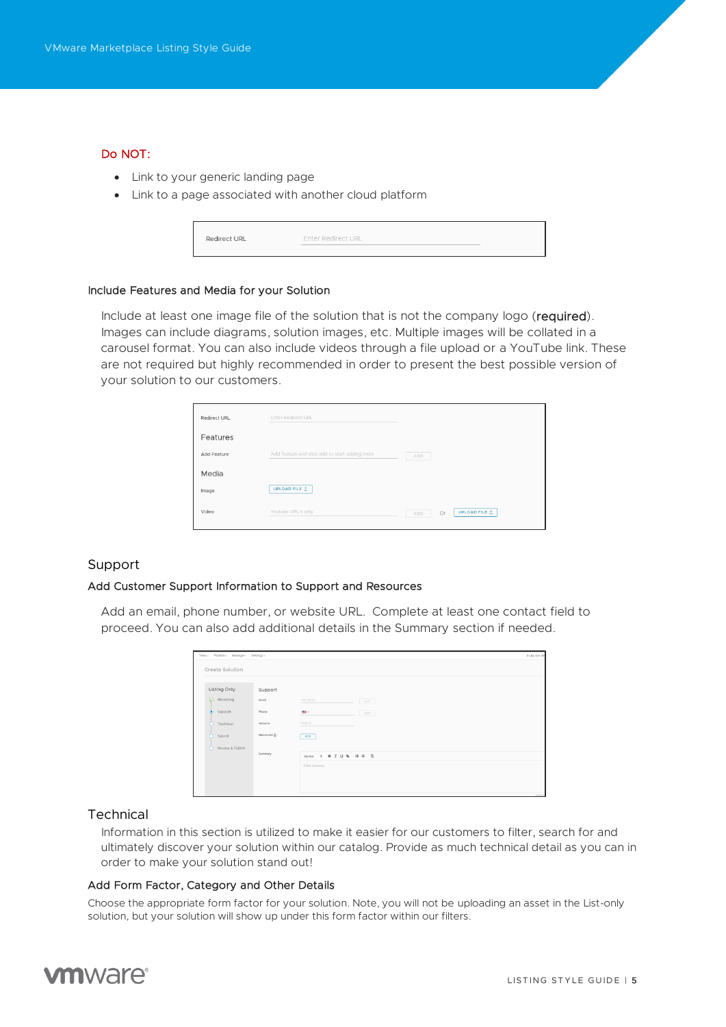#### Do NOT:

- Link to your generic landing page
- Link to a page associated with another cloud platform

| Redirect URL | <b>Enter Redirect URL</b> |  |
|--------------|---------------------------|--|
|              |                           |  |

#### <span id="page-4-0"></span>Include Features and Media for your Solution

Include at least one image file of the solution that is not the company logo (required). Images can include diagrams, solution images, etc. Multiple images will be collated in a carousel format. You can also include videos through a file upload or a YouTube link. These are not required but highly recommended in order to present the best possible version of your solution to our customers.

| Redirect URL | <b>Enter Redirect URL</b>                      |                                   |
|--------------|------------------------------------------------|-----------------------------------|
| Features     |                                                |                                   |
| Add Feature  | Add feature and click add to start adding more | ADD                               |
| Media        |                                                |                                   |
| Image        | UPLOAD FILE <sup>^</sup>                       |                                   |
| Video        | Youtube URL's only                             | <b>UPLOAD FILE 1</b><br>Or<br>ADD |

#### <span id="page-4-1"></span>Support

#### <span id="page-4-2"></span>Add Customer Support Information to Support and Resources

Add an email, phone number, or website URL. Complete at least one contact field to proceed. You can also add additional details in the Summary section if needed.

| View - Publish - Manage - Settings -<br>PUBLISH WI |               |                           |       |  |
|----------------------------------------------------|---------------|---------------------------|-------|--|
| Create Solution                                    |               |                           |       |  |
| Listing Only                                       | Support       |                           |       |  |
| $\Theta$<br>Marketing                              | Email         | Add Email<br>ADD -        |       |  |
| $\bullet$<br>Support                               | Phone         | m.<br>ADD -               |       |  |
| Technical                                          | Website       | https://                  |       |  |
| Submit<br>œ                                        | Resources (D) | ADD                       |       |  |
| Review & Publish<br>n                              |               |                           |       |  |
|                                                    | Summery       | $B I U$ $B I U$<br>Normal |       |  |
|                                                    |               | Enter Summary             |       |  |
|                                                    |               |                           |       |  |
|                                                    |               |                           |       |  |
|                                                    |               |                           | ozono |  |

#### <span id="page-4-3"></span>Technical

Information in this section is utilized to make it easier for our customers to filter, search for and ultimately discover your solution within our catalog. Provide as much technical detail as you can in order to make your solution stand out!

#### <span id="page-4-4"></span>Add Form Factor, Category and Other Details

Choose the appropriate form factor for your solution. Note, you will not be uploading an asset in the List-only solution, but your solution will show up under this form factor within our filters.

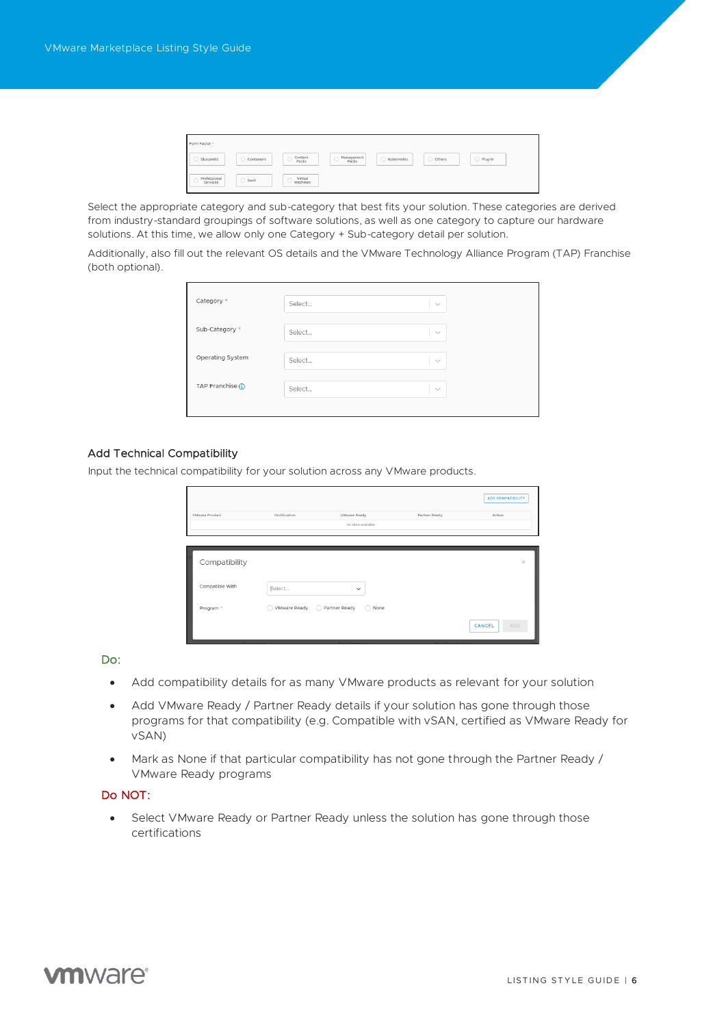| Form Factor *            |                 |                         |                          |              |          |           |
|--------------------------|-----------------|-------------------------|--------------------------|--------------|----------|-----------|
| Blueprints               | Containers      | Content<br>Packs<br>, U | Management<br>Packs<br>◡ | C Kubernetes | O Others | ○ Plug-In |
| Professional<br>Services | $\bigcirc$ SaaS | Virtual<br>Machines     |                          |              |          |           |

Select the appropriate category and sub-category that best fits your solution. These categories are derived from industry-standard groupings of software solutions, as well as one category to capture our hardware solutions. At this time, we allow only one Category + Sub-category detail per solution.

Additionally, also fill out the relevant OS details and the VMware Technology Alliance Program (TAP) Franchise (both optional).

| Category *        | Select | $\sim$     |
|-------------------|--------|------------|
| Sub-Category *    | Select | $\searrow$ |
| Operating System  | Select | $\searrow$ |
| TAP Franchise (1) | Select | $\sim$     |
|                   |        |            |

#### <span id="page-5-0"></span>Add Technical Compatibility

Input the technical compatibility for your solution across any VMware products.

| VMware Product       | Certification                  | <b>VMware Ready</b> | Partner Ready | ADD COMPATIBILITY<br>Action |
|----------------------|--------------------------------|---------------------|---------------|-----------------------------|
|                      |                                | No data available.  |               |                             |
| Compatibility        |                                |                     |               | $\times$                    |
| Compatible With      | Select                         | $\check{~}$         |               |                             |
| Program <sup>*</sup> | ◯ VMware Ready ◯ Partner Ready | O None              |               |                             |
|                      |                                |                     |               | CANCEL<br><b>ADD</b>        |

#### Do:

- Add compatibility details for as many VMware products as relevant for your solution
- Add VMware Ready / Partner Ready details if your solution has gone through those programs for that compatibility (e.g. Compatible with vSAN, certified as VMware Ready for vSAN)
- Mark as None if that particular compatibility has not gone through the Partner Ready / VMware Ready programs

### Do NOT:

• Select VMware Ready or Partner Ready unless the solution has gone through those certifications

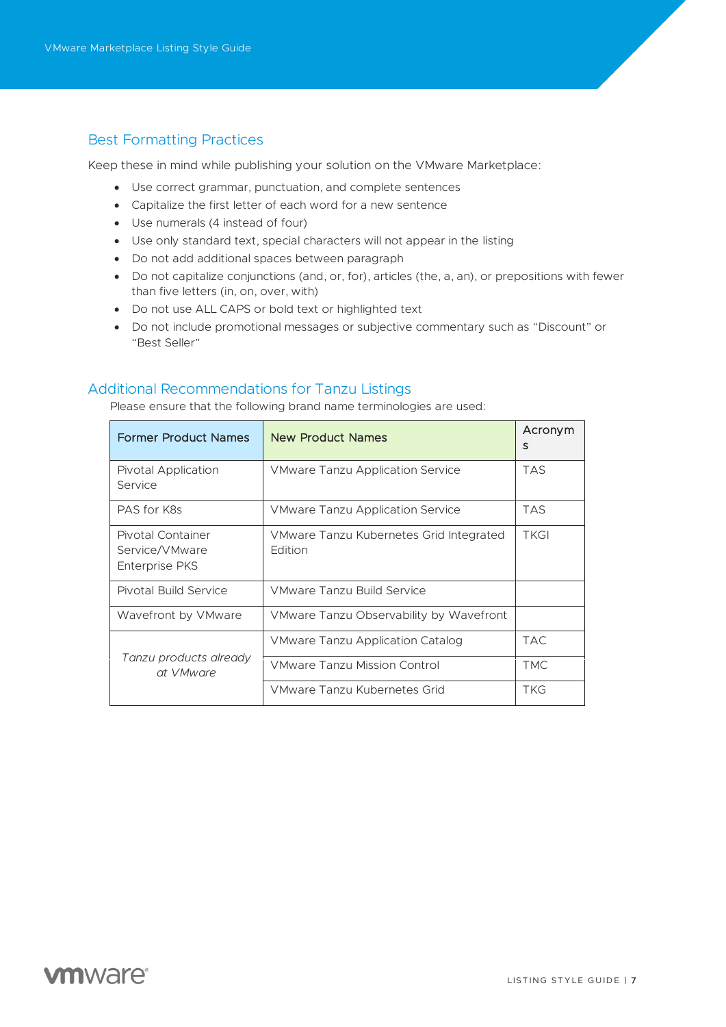# <span id="page-6-0"></span>Best Formatting Practices

Keep these in mind while publishing your solution on the VMware Marketplace:

- Use correct grammar, punctuation, and complete sentences
- Capitalize the first letter of each word for a new sentence
- Use numerals (4 instead of four)
- Use only standard text, special characters will not appear in the listing
- Do not add additional spaces between paragraph
- Do not capitalize conjunctions (and, or, for), articles (the, a, an), or prepositions with fewer than five letters (in, on, over, with)
- Do not use ALL CAPS or bold text or highlighted text
- Do not include promotional messages or subjective commentary such as "Discount" or "Best Seller"

## <span id="page-6-1"></span>Additional Recommendations for Tanzu Listings

Please ensure that the following brand name terminologies are used:

| <b>Former Product Names</b>                           | <b>New Product Names</b>                           | Acronym<br>S |
|-------------------------------------------------------|----------------------------------------------------|--------------|
| Pivotal Application<br>Service                        | <b>VMware Tanzu Application Service</b>            | <b>TAS</b>   |
| PAS for K8s                                           | <b>VMware Tanzu Application Service</b>            | <b>TAS</b>   |
| Pivotal Container<br>Service/VMware<br>Enterprise PKS | VMware Tanzu Kubernetes Grid Integrated<br>Edition | <b>TKGI</b>  |
| Pivotal Build Service                                 | VMware Tanzu Build Service                         |              |
| Wavefront by VMware                                   | VMware Tanzu Observability by Wavefront            |              |
|                                                       | VMware Tanzu Application Catalog                   | TAC.         |
| Tanzu products already<br>at VMware                   | <b>VMware Tanzu Mission Control</b>                | TMC.         |
|                                                       | VMware Tanzu Kubernetes Grid                       | <b>TKG</b>   |